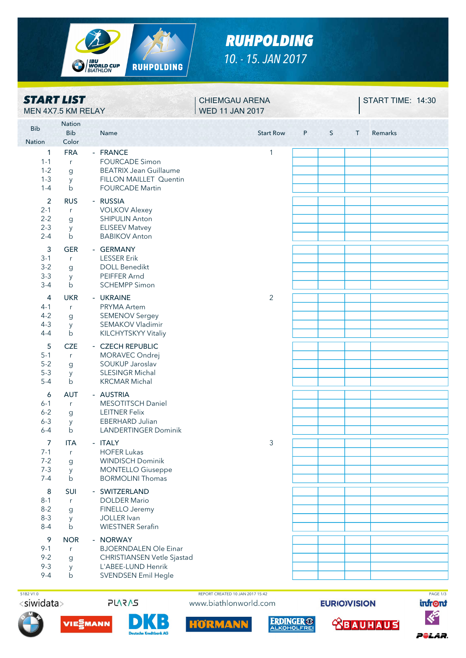

# *RUHPOLDING*

*10. - 15. JAN 2017*

### **Rih** Nation Bib Name Start Row P S T Remarks Nation Color 1 FRA - FRANCE 1 1-1 <sup>r</sup> FOURCADE Simon 1-2 g BEATRIX Jean Guillaume 1-3 y FILLON MAILLET Quentin 1-4 b FOURCADE Martin 2 RUS RUSSIA 2-1 <sup>r</sup> VOLKOV Alexey 2-2 g SHIPULIN Anton 2-3 y ELISEEV Matvey 2-4 b BABIKOV Anton 3 GER GERMANY 3-1 <sup>r</sup> LESSER Erik 3-2 g DOLL Benedikt 3-3 y PEIFFER Arnd 3-4 b SCHEMPP Simon 4 UKR - UKRAINE 2 4-1 <sup>r</sup> PRYMA Artem 4-2 g SEMENOV Sergey 4-3 y SEMAKOV Vladimir 4-4 b KILCHYTSKYY Vitaliy 5 CZE - **CZECH REPUBLIC** 5-1 <sup>r</sup> MORAVEC Ondrej 5-2 g SOUKUP Jaroslav 5-3 y SLESINGR Michal 5-4 b KRCMAR Michal 6 AUT AUSTRIA 6-1 <sup>r</sup> MESOTITSCH Daniel 6-2 g LEITNER Felix 6-3 y EBERHARD Julian b LANDERTINGER Dominik 7 ITA - ITALY 3 7-1 <sup>r</sup> HOFER Lukas 7-2 g WINDISCH Dominik 7-3 y MONTELLO Giuseppe 7-4 b BORMOLINI Thomas 8 SUI - SWITZERLAND 8-1 <sup>r</sup> DOLDER Mario 8-2 g FINELLO Jeremy<br>8-3 v JOLLER Ivan y JOLLER Ivan 8-4 b WIESTNER Serafin 9 NOR - NORWAY 9-1 <sup>r</sup> BJOERNDALEN Ole Einar 9-2 g CHRISTIANSEN Vetle Sjastad 9-3 y L'ABEE-LUND Henrik 9-4 b SVENDSEN Emil Hegle *START LIST* MEN 4X7.5 KM RELAY WED 11 JAN 2017 **CHIEMGAU ARENA START TIME: 14:30**

<siwidata>



 51B2 V1.0 REPORT CREATED 10 JAN 2017 15:42 PAGE 1/3www.biathlonworld.com

HORMA

**ERDINGER ®** 

**EURIO)VISION** 





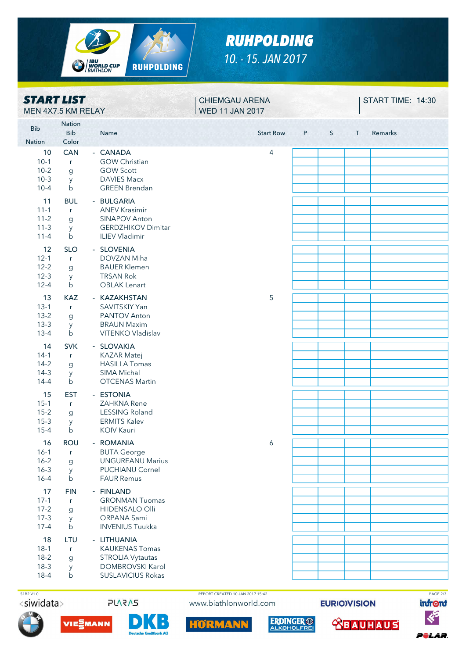

MEN 4X7.5 KM RELAY WED 11 JAN 2017

*START LIST*

## *RUHPOLDING 10. - 15. JAN 2017*

**CHIEMGAU ARENA** 

**Rih** Nation Bib Name Start Row P S T Remarks Nation Color 10 CAN - CANADA 4 10-1 r GOW Christian 10-2 g GOW Scott 10-3 y DAVIES Macx 10-4 b GREEN Brendan 11 **BUL**  BULGARIA 11-1 <sup>r</sup> ANEV Krasimir 11-2 g SINAPOV Anton 11-3 v GERDZHIKOV Dimitar 11-4 b ILIEV Vladimir 12 SLO - SLOVENIA 12-1 <sup>r</sup> DOVZAN Miha 12-2 g BAUER Klemen 12-3 y TRSAN Rok 12-4 b OBLAK Lenart 13 KAZ - KAZAKHSTAN 5 13-1 <sup>r</sup> SAVITSKIY Yan 13-2 g PANTOV Anton 13-3 y BRAUN Maxim 13-4 b VITENKO Vladislav 14 SVK - SLOVAKIA 14-1 <sup>r</sup> KAZAR Matej 14-2 g HASILLA Tomas 14-3 y SIMA Michal 14-4 b OTCENAS Martin 15 EST - ESTONIA 15-1 <sup>r</sup> ZAHKNA Rene 15-2 g LESSING Roland 15-3 y ERMITS Kalev 15-4 b KOIV Kauri 16 ROU - ROMANIA 6 16-1 <sup>r</sup> BUTA George 16-2 g UNGUREANU Marius 16-3 y PUCHIANU Cornel 16-4 b FAUR Remus 17 FIN - FINLAND 17-1 <sup>r</sup> GRONMAN Tuomas 17-2 g HIIDENSALO Olli<br>17-3 v ORPANA Sami y ORPANA Sami 17-4 b INVENIUS Tuukka 18 LTU - LITHUANIA 18-1 <sup>r</sup> KAUKENAS Tomas 18-2 g STROLIA Vytautas 18-3 y DOMBROVSKI Karol

<siwidata>



18-4 b SUSLAVICIUS Rokas

 51B2 V1.0 REPORT CREATED 10 JAN 2017 15:42 PAGE 2/3www.biathlonworld.com

HORMA

**ERDINGER ®** 

**EURIO)VISION** 

**CBAUHAUS** 

**START TIME: 14:30**